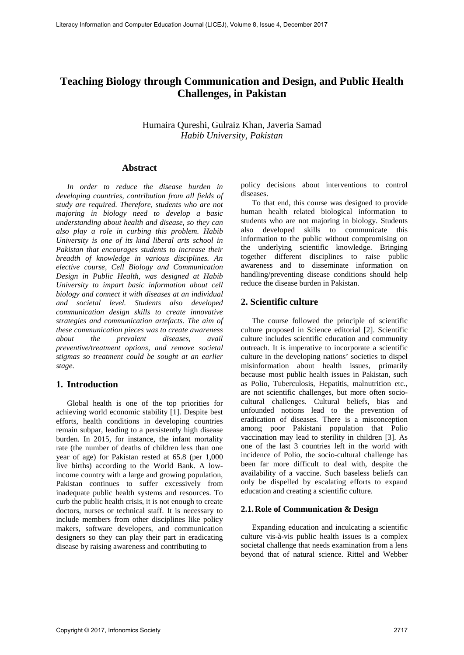# **Teaching Biology through Communication and Design, and Public Health Challenges, in Pakistan**

Humaira Qureshi, Gulraiz Khan, Javeria Samad *Habib University, Pakistan*

## **Abstract**

*In order to reduce the disease burden in developing countries, contribution from all fields of study are required. Therefore, students who are not majoring in biology need to develop a basic understanding about health and disease, so they can also play a role in curbing this problem. Habib University is one of its kind liberal arts school in Pakistan that encourages students to increase their breadth of knowledge in various disciplines. An elective course, Cell Biology and Communication Design in Public Health, was designed at Habib University to impart basic information about cell biology and connect it with diseases at an individual and societal level. Students also developed communication design skills to create innovative strategies and communication artefacts. The aim of these communication pieces was to create awareness about the prevalent diseases, avail preventive/treatment options, and remove societal stigmas so treatment could be sought at an earlier stage.* 

## **1. Introduction**

Global health is one of the top priorities for achieving world economic stability [1]. Despite best efforts, health conditions in developing countries remain subpar, leading to a persistently high disease burden. In 2015, for instance, the infant mortality rate (the number of deaths of children less than one year of age) for Pakistan rested at 65.8 (per 1,000 live births) according to the World Bank. A lowincome country with a large and growing population, Pakistan continues to suffer excessively from inadequate public health systems and resources. To curb the public health crisis, it is not enough to create doctors, nurses or technical staff. It is necessary to include members from other disciplines like policy makers, software developers, and communication designers so they can play their part in eradicating disease by raising awareness and contributing to

policy decisions about interventions to control diseases.

To that end, this course was designed to provide human health related biological information to students who are not majoring in biology. Students also developed skills to communicate this information to the public without compromising on the underlying scientific knowledge. Bringing together different disciplines to raise public awareness and to disseminate information on handling/preventing disease conditions should help reduce the disease burden in Pakistan.

# **2. Scientific culture**

The course followed the principle of scientific culture proposed in Science editorial [2]. Scientific culture includes scientific education and community outreach. It is imperative to incorporate a scientific culture in the developing nations' societies to dispel misinformation about health issues, primarily because most public health issues in Pakistan, such as Polio, Tuberculosis, Hepatitis, malnutrition etc., are not scientific challenges, but more often sociocultural challenges. Cultural beliefs, bias and unfounded notions lead to the prevention of eradication of diseases. There is a misconception among poor Pakistani population that Polio vaccination may lead to sterility in children [3]. As one of the last 3 countries left in the world with incidence of Polio, the socio-cultural challenge has been far more difficult to deal with, despite the availability of a vaccine. Such baseless beliefs can only be dispelled by escalating efforts to expand education and creating a scientific culture.

#### **2.1.Role of Communication & Design**

Expanding education and inculcating a scientific culture vis-à-vis public health issues is a complex societal challenge that needs examination from a lens beyond that of natural science. Rittel and Webber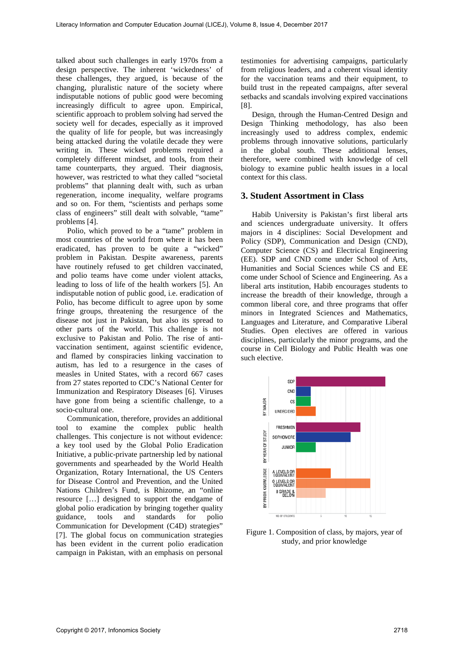talked about such challenges in early 1970s from a design perspective. The inherent 'wickedness' of these challenges, they argued, is because of the changing, pluralistic nature of the society where indisputable notions of public good were becoming increasingly difficult to agree upon. Empirical, scientific approach to problem solving had served the society well for decades, especially as it improved the quality of life for people, but was increasingly being attacked during the volatile decade they were writing in. These wicked problems required a completely different mindset, and tools, from their tame counterparts, they argued. Their diagnosis, however, was restricted to what they called "societal problems" that planning dealt with, such as urban regeneration, income inequality, welfare programs and so on. For them, "scientists and perhaps some class of engineers" still dealt with solvable, "tame" problems [4].

Polio, which proved to be a "tame" problem in most countries of the world from where it has been eradicated, has proven to be quite a "wicked" problem in Pakistan. Despite awareness, parents have routinely refused to get children vaccinated, and polio teams have come under violent attacks, leading to loss of life of the health workers [5]. An indisputable notion of public good, i.e. eradication of Polio, has become difficult to agree upon by some fringe groups, threatening the resurgence of the disease not just in Pakistan, but also its spread to other parts of the world. This challenge is not exclusive to Pakistan and Polio. The rise of antivaccination sentiment, against scientific evidence, and flamed by conspiracies linking vaccination to autism, has led to a resurgence in the cases of measles in United States, with a record 667 cases from 27 states reported to CDC's National Center for Immunization and Respiratory Diseases [6]. Viruses have gone from being a scientific challenge, to a socio-cultural one.

Communication, therefore, provides an additional tool to examine the complex public health challenges. This conjecture is not without evidence: a key tool used by the Global Polio Eradication Initiative, a public-private partnership led by national governments and spearheaded by the World Health Organization, Rotary International, the US Centers for Disease Control and Prevention, and the United Nations Children's Fund, is Rhizome, an "online resource […] designed to support the endgame of global polio eradication by bringing together quality guidance, tools and standards for polio Communication for Development (C4D) strategies" [7]. The global focus on communication strategies has been evident in the current polio eradication campaign in Pakistan, with an emphasis on personal

testimonies for advertising campaigns, particularly from religious leaders, and a coherent visual identity for the vaccination teams and their equipment, to build trust in the repeated campaigns, after several setbacks and scandals involving expired vaccinations [8].

Design, through the Human-Centred Design and Design Thinking methodology, has also been increasingly used to address complex, endemic problems through innovative solutions, particularly in the global south. These additional lenses, therefore, were combined with knowledge of cell biology to examine public health issues in a local context for this class.

#### **3. Student Assortment in Class**

Habib University is Pakistan's first liberal arts and sciences undergraduate university. It offers majors in 4 disciplines: Social Development and Policy (SDP), Communication and Design (CND), Computer Science (CS) and Electrical Engineering (EE). SDP and CND come under School of Arts, Humanities and Social Sciences while CS and EE come under School of Science and Engineering. As a liberal arts institution, Habib encourages students to increase the breadth of their knowledge, through a common liberal core, and three programs that offer minors in Integrated Sciences and Mathematics, Languages and Literature, and Comparative Liberal Studies. Open electives are offered in various disciplines, particularly the minor programs, and the course in Cell Biology and Public Health was one such elective.



Figure 1. Composition of class, by majors, year of study, and prior knowledge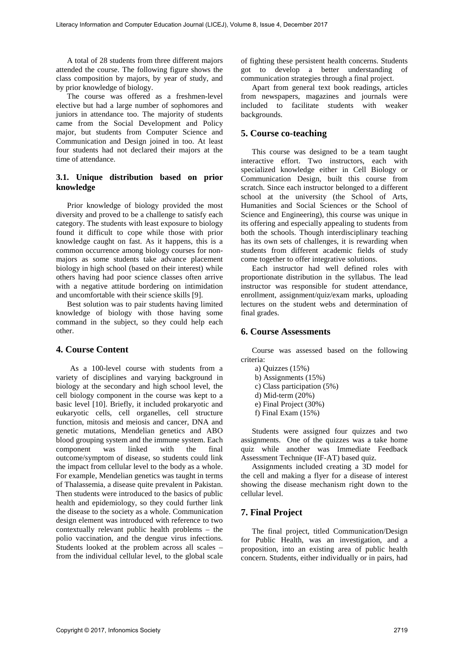A total of 28 students from three different majors attended the course. The following figure shows the class composition by majors, by year of study, and by prior knowledge of biology.

The course was offered as a freshmen-level elective but had a large number of sophomores and juniors in attendance too. The majority of students came from the Social Development and Policy major, but students from Computer Science and Communication and Design joined in too. At least four students had not declared their majors at the time of attendance.

## **3.1. Unique distribution based on prior knowledge**

Prior knowledge of biology provided the most diversity and proved to be a challenge to satisfy each category. The students with least exposure to biology found it difficult to cope while those with prior knowledge caught on fast. As it happens, this is a common occurrence among biology courses for nonmajors as some students take advance placement biology in high school (based on their interest) while others having had poor science classes often arrive with a negative attitude bordering on intimidation and uncomfortable with their science skills [9].

Best solution was to pair students having limited knowledge of biology with those having some command in the subject, so they could help each other.

# **4. Course Content**

As a 100-level course with students from a variety of disciplines and varying background in biology at the secondary and high school level, the cell biology component in the course was kept to a basic level [10]. Briefly, it included prokaryotic and eukaryotic cells, cell organelles, cell structure function, mitosis and meiosis and cancer, DNA and genetic mutations, Mendelian genetics and ABO blood grouping system and the immune system. Each component was linked with the final outcome/symptom of disease, so students could link the impact from cellular level to the body as a whole. For example, Mendelian genetics was taught in terms of Thalassemia, a disease quite prevalent in Pakistan. Then students were introduced to the basics of public health and epidemiology, so they could further link the disease to the society as a whole. Communication design element was introduced with reference to two contextually relevant public health problems – the polio vaccination, and the dengue virus infections. Students looked at the problem across all scales – from the individual cellular level, to the global scale

of fighting these persistent health concerns. Students got to develop a better understanding of communication strategies through a final project.

Apart from general text book readings, articles from newspapers, magazines and journals were included to facilitate students with weaker backgrounds.

## **5. Course co-teaching**

This course was designed to be a team taught interactive effort. Two instructors, each with specialized knowledge either in Cell Biology or Communication Design, built this course from scratch. Since each instructor belonged to a different school at the university (the School of Arts, Humanities and Social Sciences or the School of Science and Engineering), this course was unique in its offering and especially appealing to students from both the schools. Though interdisciplinary teaching has its own sets of challenges, it is rewarding when students from different academic fields of study come together to offer integrative solutions.

Each instructor had well defined roles with proportionate distribution in the syllabus. The lead instructor was responsible for student attendance, enrollment, assignment/quiz/exam marks, uploading lectures on the student webs and determination of final grades.

## **6. Course Assessments**

Course was assessed based on the following criteria:

- a) Quizzes (15%)
- b) Assignments (15%)
- c) Class participation (5%)
- d) Mid-term (20%)
- e) Final Project (30%)
- f) Final Exam (15%)

Students were assigned four quizzes and two assignments. One of the quizzes was a take home quiz while another was Immediate Feedback Assessment Technique (IF-AT) based quiz.

Assignments included creating a 3D model for the cell and making a flyer for a disease of interest showing the disease mechanism right down to the cellular level.

## **7. Final Project**

The final project, titled Communication/Design for Public Health, was an investigation, and a proposition, into an existing area of public health concern. Students, either individually or in pairs, had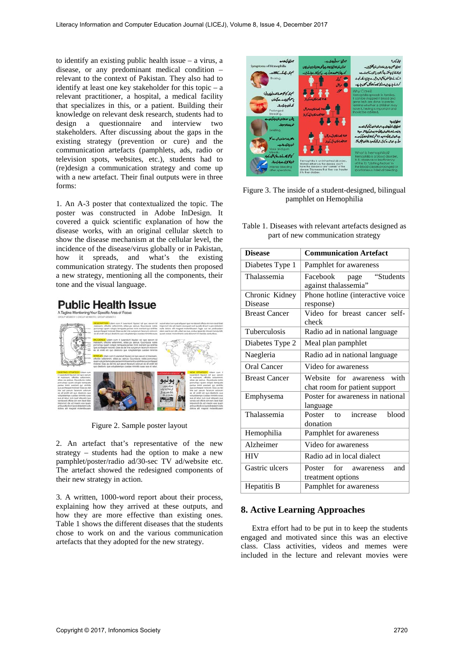to identify an existing public health issue – a virus, a disease, or any predominant medical condition – relevant to the context of Pakistan. They also had to identify at least one key stakeholder for this topic – a relevant practitioner, a hospital, a medical facility that specializes in this, or a patient. Building their knowledge on relevant desk research, students had to design a questionnaire and interview two stakeholders. After discussing about the gaps in the existing strategy (prevention or cure) and the communication artefacts (pamphlets, ads, radio or television spots, websites, etc.), students had to (re)design a communication strategy and come up with a new artefact. Their final outputs were in three forms:

1. An A-3 poster that contextualized the topic. The poster was constructed in Adobe InDesign. It covered a quick scientific explanation of how the disease works, with an original cellular sketch to show the disease mechanism at the cellular level, the incidence of the disease/virus globally or in Pakistan, how it spreads, and what's the existing communication strategy. The students then proposed a new strategy, mentioning all the components, their tone and the visual language.

# **Public Health Issue**



Figure 2. Sample poster layout

2. An artefact that's representative of the new strategy – students had the option to make a new pamphlet/poster/radio ad/30-sec TV ad/website etc. The artefact showed the redesigned components of their new strategy in action.

3. A written, 1000-word report about their process, explaining how they arrived at these outputs, and how they are more effective than existing ones. Table 1 shows the different diseases that the students chose to work on and the various communication artefacts that they adopted for the new strategy.



Figure 3. The inside of a student-designed, bilingual pamphlet on Hemophilia

Table 1. Diseases with relevant artefacts designed as part of new communication strategy

| <b>Disease</b>       | <b>Communication Artefact</b>                            |  |
|----------------------|----------------------------------------------------------|--|
| Diabetes Type 1      | Pamphlet for awareness                                   |  |
| Thalassemia          | "Students<br>Facebook<br>page<br>against thalassemia"    |  |
| Chronic Kidney       | Phone hotline (interactive voice                         |  |
| Disease              | response)                                                |  |
| <b>Breast Cancer</b> | Video for breast cancer self-<br>check                   |  |
| <b>Tuberculosis</b>  | Radio ad in national language                            |  |
| Diabetes Type 2      | Meal plan pamphlet                                       |  |
| Naegleria            | Radio ad in national language                            |  |
| Oral Cancer          | Video for awareness                                      |  |
| <b>Breast Cancer</b> | Website for<br>with<br>awareness                         |  |
|                      | chat room for patient support                            |  |
| Emphysema            | Poster for awareness in national<br>language             |  |
| Thalassemia          | blood<br>Poster<br>increase<br>$\mathsf{to}$<br>donation |  |
| Hemophilia           | Pamphlet for awareness                                   |  |
| Alzheimer            | Video for awareness                                      |  |
| <b>HIV</b>           | Radio ad in local dialect                                |  |
| Gastric ulcers       | for awareness<br>Poster<br>and<br>treatment options      |  |
| Hepatitis B          | Pamphlet for awareness                                   |  |

# **8. Active Learning Approaches**

Extra effort had to be put in to keep the students engaged and motivated since this was an elective class. Class activities, videos and memes were included in the lecture and relevant movies were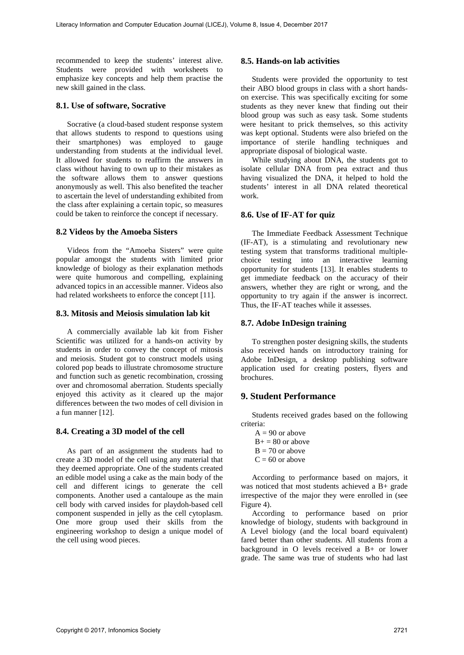recommended to keep the students' interest alive. Students were provided with worksheets to emphasize key concepts and help them practise the new skill gained in the class.

#### **8.1. Use of software, Socrative**

Socrative (a cloud-based student response system that allows students to respond to questions using their smartphones) was employed to gauge understanding from students at the individual level. It allowed for students to reaffirm the answers in class without having to own up to their mistakes as the software allows them to answer questions anonymously as well. This also benefited the teacher to ascertain the level of understanding exhibited from the class after explaining a certain topic, so measures could be taken to reinforce the concept if necessary.

#### **8.2 Videos by the Amoeba Sisters**

Videos from the "Amoeba Sisters" were quite popular amongst the students with limited prior knowledge of biology as their explanation methods were quite humorous and compelling, explaining advanced topics in an accessible manner. Videos also had related worksheets to enforce the concept [11].

## **8.3. Mitosis and Meiosis simulation lab kit**

A commercially available lab kit from Fisher Scientific was utilized for a hands-on activity by students in order to convey the concept of mitosis and meiosis. Student got to construct models using colored pop beads to illustrate chromosome structure and function such as genetic recombination, crossing over and chromosomal aberration. Students specially enjoyed this activity as it cleared up the major differences between the two modes of cell division in a fun manner [12].

#### **8.4. Creating a 3D model of the cell**

As part of an assignment the students had to create a 3D model of the cell using any material that they deemed appropriate. One of the students created an edible model using a cake as the main body of the cell and different icings to generate the cell components. Another used a cantaloupe as the main cell body with carved insides for playdoh-based cell component suspended in jelly as the cell cytoplasm. One more group used their skills from the engineering workshop to design a unique model of the cell using wood pieces.

#### **8.5. Hands-on lab activities**

Students were provided the opportunity to test their ABO blood groups in class with a short handson exercise. This was specifically exciting for some students as they never knew that finding out their blood group was such as easy task. Some students were hesitant to prick themselves, so this activity was kept optional. Students were also briefed on the importance of sterile handling techniques and appropriate disposal of biological waste.

While studying about DNA, the students got to isolate cellular DNA from pea extract and thus having visualized the DNA, it helped to hold the students' interest in all DNA related theoretical work.

#### **8.6. Use of IF-AT for quiz**

The Immediate Feedback Assessment Technique (IF-AT), is a stimulating and revolutionary new testing system that transforms traditional multiplechoice testing into an interactive learning opportunity for students [13]. It enables students to get immediate feedback on the accuracy of their answers, whether they are right or wrong, and the opportunity to try again if the answer is incorrect. Thus, the IF-AT teaches while it assesses.

#### **8.7. Adobe InDesign training**

To strengthen poster designing skills, the students also received hands on introductory training for Adobe InDesign, a desktop publishing software application used for creating posters, flyers and brochures.

## **9. Student Performance**

Students received grades based on the following criteria:

 $A = 90$  or above  $B+ = 80$  or above  $B = 70$  or above  $C = 60$  or above

According to performance based on majors, it was noticed that most students achieved a B+ grade irrespective of the major they were enrolled in (see Figure 4).

According to performance based on prior knowledge of biology, students with background in A Level biology (and the local board equivalent) fared better than other students. All students from a background in O levels received a B+ or lower grade. The same was true of students who had last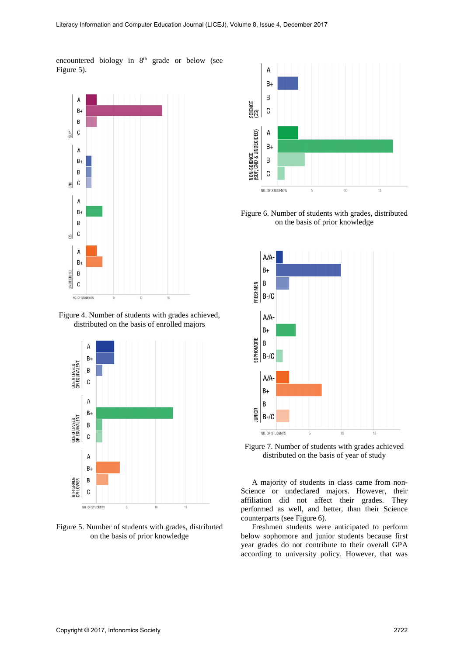encountered biology in 8<sup>th</sup> grade or below (see Figure 5).



Figure 4. Number of students with grades achieved, distributed on the basis of enrolled majors



Figure 5. Number of students with grades, distributed on the basis of prior knowledge



Figure 6. Number of students with grades, distributed on the basis of prior knowledge



Figure 7. Number of students with grades achieved distributed on the basis of year of study

A majority of students in class came from non-Science or undeclared majors. However, their affiliation did not affect their grades. They performed as well, and better, than their Science counterparts (see Figure 6).

Freshmen students were anticipated to perform below sophomore and junior students because first year grades do not contribute to their overall GPA according to university policy. However, that was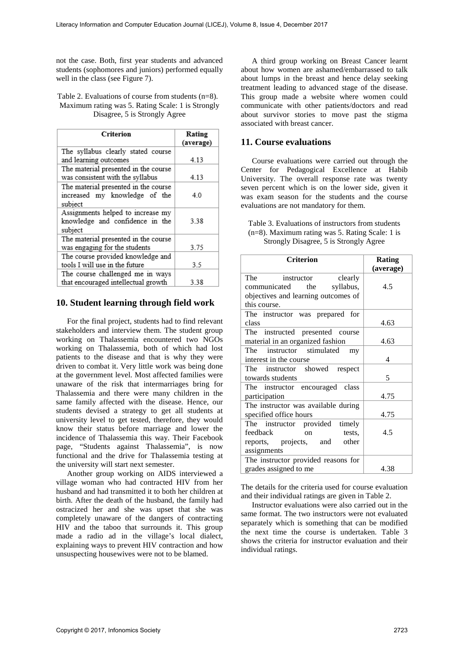not the case. Both, first year students and advanced students (sophomores and juniors) performed equally well in the class (see Figure 7).

#### Table 2. Evaluations of course from students (n=8). Maximum rating was 5. Rating Scale: 1 is Strongly Disagree, 5 is Strongly Agree

| Criterion                                                                        | Rating<br>(average) |
|----------------------------------------------------------------------------------|---------------------|
| The syllabus clearly stated course<br>and learning outcomes                      | 4.13                |
| The material presented in the course<br>was consistent with the syllabus         | 4.13                |
| The material presented in the course<br>increased my knowledge of the<br>subject | 4.0                 |
| Assignments helped to increase my<br>knowledge and confidence in the<br>subject  | 3.38                |
| The material presented in the course<br>was engaging for the students            | 3.75                |
| The course provided knowledge and<br>tools I will use in the future              | 3.5                 |
| The course challenged me in ways<br>that encouraged intellectual growth          | 3.38                |

## **10. Student learning through field work**

For the final project, students had to find relevant stakeholders and interview them. The student group working on Thalassemia encountered two NGOs working on Thalassemia, both of which had lost patients to the disease and that is why they were driven to combat it. Very little work was being done at the government level. Most affected families were unaware of the risk that intermarriages bring for Thalassemia and there were many children in the same family affected with the disease. Hence, our students devised a strategy to get all students at university level to get tested, therefore, they would know their status before marriage and lower the incidence of Thalassemia this way. Their Facebook page, "Students against Thalassemia", is now functional and the drive for Thalassemia testing at the university will start next semester.

Another group working on AIDS interviewed a village woman who had contracted HIV from her husband and had transmitted it to both her children at birth. After the death of the husband, the family had ostracized her and she was upset that she was completely unaware of the dangers of contracting HIV and the taboo that surrounds it. This group made a radio ad in the village's local dialect, explaining ways to prevent HIV contraction and how unsuspecting housewives were not to be blamed.

A third group working on Breast Cancer learnt about how women are ashamed/embarrassed to talk about lumps in the breast and hence delay seeking treatment leading to advanced stage of the disease. This group made a website where women could communicate with other patients/doctors and read about survivor stories to move past the stigma associated with breast cancer.

# **11. Course evaluations**

Course evaluations were carried out through the Center for Pedagogical Excellence at Habib University. The overall response rate was twenty seven percent which is on the lower side, given it was exam season for the students and the course evaluations are not mandatory for them.

Table 3. Evaluations of instructors from students (n=8). Maximum rating was 5. Rating Scale: 1 is Strongly Disagree, 5 is Strongly Agree

| <b>Criterion</b>                                                                                                | <b>Rating</b><br>(average) |
|-----------------------------------------------------------------------------------------------------------------|----------------------------|
| The instructor clearly<br>communicated the syllabus,<br>objectives and learning outcomes of<br>this course.     | 4.5                        |
| The instructor was prepared for<br>class                                                                        | 4.63                       |
| The instructed presented course<br>material in an organized fashion                                             | 4.63                       |
| The instructor stimulated<br>my<br>interest in the course                                                       | 4                          |
| The instructor showed respect<br>towards students                                                               | 5                          |
| The instructor encouraged class<br>participation                                                                | 4.75                       |
| The instructor was available during<br>specified office hours                                                   | 4.75                       |
| The instructor provided timely<br>feedback<br>tests,<br>$\alpha$<br>reports, projects, and other<br>assignments | 4.5                        |
| The instructor provided reasons for<br>grades assigned to me                                                    | 4.38                       |

The details for the criteria used for course evaluation and their individual ratings are given in Table 2.

Instructor evaluations were also carried out in the same format. The two instructors were not evaluated separately which is something that can be modified the next time the course is undertaken. Table 3 shows the criteria for instructor evaluation and their individual ratings.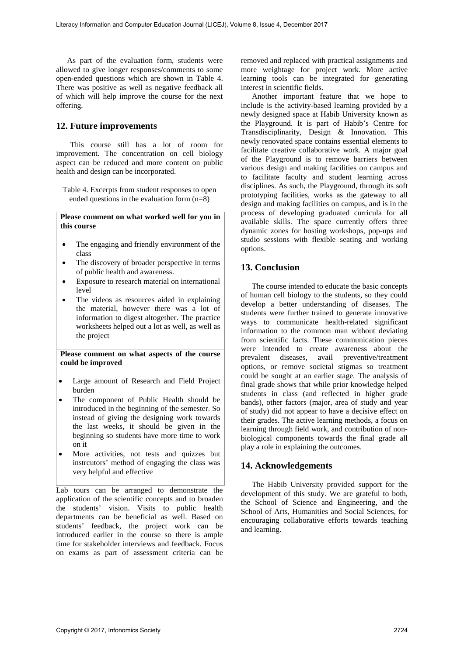As part of the evaluation form, students were allowed to give longer responses/comments to some open-ended questions which are shown in Table 4. There was positive as well as negative feedback all of which will help improve the course for the next offering.

#### **12. Future improvements**

This course still has a lot of room for improvement. The concentration on cell biology aspect can be reduced and more content on public health and design can be incorporated.

Table 4. Excerpts from student responses to open ended questions in the evaluation form (n=8)

**Please comment on what worked well for you in this course**

- The engaging and friendly environment of the class
- The discovery of broader perspective in terms of public health and awareness.
- Exposure to research material on international level
- The videos as resources aided in explaining the material, however there was a lot of information to digest altogether. The practice worksheets helped out a lot as well, as well as the project

**Please comment on what aspects of the course could be improved**

- Large amount of Research and Field Project burden
- The component of Public Health should be introduced in the beginning of the semester. So instead of giving the designing work towards the last weeks, it should be given in the beginning so students have more time to work on it
- More activities, not tests and quizzes but instrcutors' method of engaging the class was very helpful and effective

Lab tours can be arranged to demonstrate the application of the scientific concepts and to broaden the students' vision. Visits to public health departments can be beneficial as well. Based on students' feedback, the project work can be introduced earlier in the course so there is ample time for stakeholder interviews and feedback. Focus on exams as part of assessment criteria can be removed and replaced with practical assignments and more weightage for project work. More active learning tools can be integrated for generating interest in scientific fields.

Another important feature that we hope to include is the activity-based learning provided by a newly designed space at Habib University known as the Playground. It is part of Habib's Centre for Transdisciplinarity, Design & Innovation. This newly renovated space contains essential elements to facilitate creative collaborative work. A major goal of the Playground is to remove barriers between various design and making facilities on campus and to facilitate faculty and student learning across disciplines. As such, the Playground, through its soft prototyping facilities, works as the gateway to all design and making facilities on campus, and is in the process of developing graduated curricula for all available skills. The space currently offers three dynamic zones for hosting workshops, pop-ups and studio sessions with flexible seating and working options.

## **13. Conclusion**

The course intended to educate the basic concepts of human cell biology to the students, so they could develop a better understanding of diseases. The students were further trained to generate innovative ways to communicate health-related significant information to the common man without deviating from scientific facts. These communication pieces were intended to create awareness about the prevalent diseases, avail preventive/treatment options, or remove societal stigmas so treatment could be sought at an earlier stage. The analysis of final grade shows that while prior knowledge helped students in class (and reflected in higher grade bands), other factors (major, area of study and year of study) did not appear to have a decisive effect on their grades. The active learning methods, a focus on learning through field work, and contribution of nonbiological components towards the final grade all play a role in explaining the outcomes.

# **14. Acknowledgements**

The Habib University provided support for the development of this study. We are grateful to both, the School of Science and Engineering, and the School of Arts, Humanities and Social Sciences, for encouraging collaborative efforts towards teaching and learning.